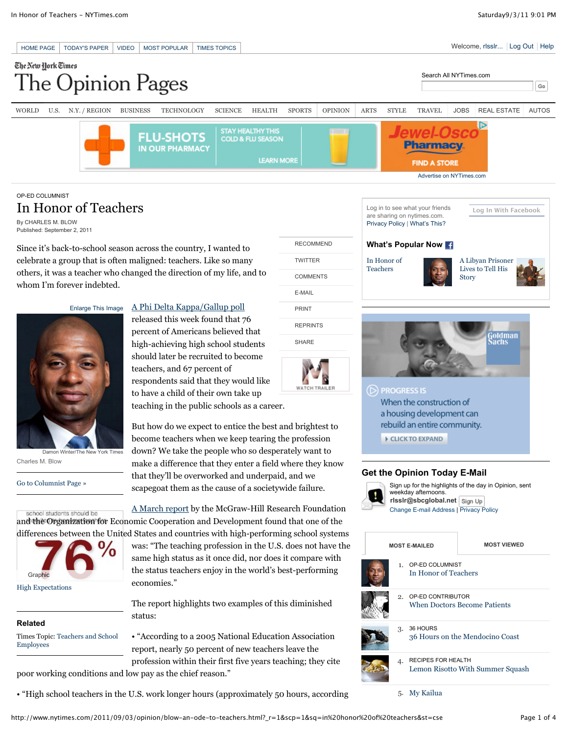### HOME PAGE TODAY'S PAPER VIDEO MOST POPULAR TIMES TOPICS WELCOME CONTROL TO A CONTROL OUT HELP The New York Times Search All NYTimes.com pinion Pages ٦Α  $_{\rm Go}$ WORLD U.S. N.Y. / REGION BUSINESS TECHNOLOGY SCIENCE HEALTH SPORTS OPINION ARTS STYLE TRAVEL JOBS REAL ESTATE AUTOS .h **STAY HEALTHY THIS FLU-SHOTS COLD & FLU SEASON** harmac **IN OUR PHARMACY LEARN MORE FIND A STORE** Advertise on NYTimes.com

COMMENTS E-MAIL PRINT REPRINTS SHARE

**WATCH TRAIL** 

TWITTER

# OP-ED COLUMNIST In Honor of Teachers

By CHARLES M. BLOW Published: September 2, 2011

Since it's back-to-school season across the country, I wanted to celebrate a group that is often maligned: teachers. Like so many others, it was a teacher who changed the direction of my life, and to whom I'm forever indebted.

Enlarge This Image



Damon Winter/The New York Times Charles M. Blow

Go to Columnist Page »

# A Phi Delta Kappa/Gallup poll

released this week found that 76 percent of Americans believed that high-achieving high school students should later be recruited to become teachers, and 67 percent of respondents said that they would like to have a child of their own take up teaching in the public schools as a career.

But how do we expect to entice the best and brightest to become teachers when we keep tearing the profession down? We take the people who so desperately want to make a difference that they enter a field where they know that they'll be overworked and underpaid, and we scapegoat them as the cause of a societywide failure.

A March report by the McGraw-Hill Research Foundation school students should be and the Organization for Economic Cooperation and Development found that one of the differences between the United States and countries with high-performing school systems



High Expectations

### **Related**

Times Topic: Teachers and School Employees

was: "The teaching profession in the U.S. does not have the same high status as it once did, nor does it compare with the status teachers enjoy in the world's best-performing economies."

The report highlights two examples of this diminished status:

• "According to a 2005 National Education Association report, nearly 50 percent of new teachers leave the profession within their first five years teaching; they cite poor working conditions and low pay as the chief reason."

• "High school teachers in the U.S. work longer hours (approximately 50 hours, according





# **Get the Opinion Today E-Mail**



| <b>MOST E-MAILED</b> |    |                                                      | <b>MOST VIEWED</b>               |
|----------------------|----|------------------------------------------------------|----------------------------------|
|                      |    | 1. OP-ED COLUMNIST<br>In Honor of Teachers           |                                  |
|                      |    | 2. OP-ED CONTRIBUTOR<br>When Doctors Become Patients |                                  |
|                      |    | 3. 36 HOURS                                          | 36 Hours on the Mendocino Coast  |
|                      | 4. | <b>RECIPES FOR HEALTH</b>                            | Lemon Risotto With Summer Squash |

5. My Kailua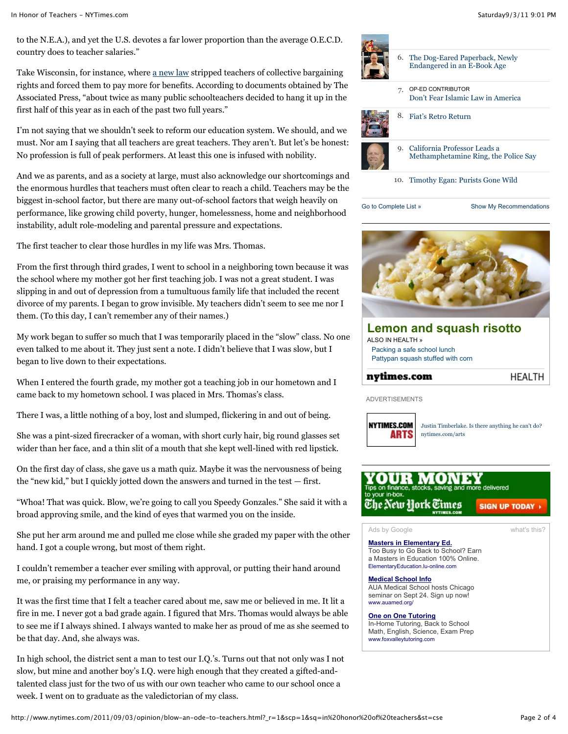to the N.E.A.), and yet the U.S. devotes a far lower proportion than the average O.E.C.D. country does to teacher salaries."

Take Wisconsin, for instance, where a new law stripped teachers of collective bargaining rights and forced them to pay more for benefits. According to documents obtained by The Associated Press, "about twice as many public schoolteachers decided to hang it up in the first half of this year as in each of the past two full years."

I'm not saying that we shouldn't seek to reform our education system. We should, and we must. Nor am I saying that all teachers are great teachers. They aren't. But let's be honest: No profession is full of peak performers. At least this one is infused with nobility.

And we as parents, and as a society at large, must also acknowledge our shortcomings and the enormous hurdles that teachers must often clear to reach a child. Teachers may be the biggest in-school factor, but there are many out-of-school factors that weigh heavily on performance, like growing child poverty, hunger, homelessness, home and neighborhood instability, adult role-modeling and parental pressure and expectations.

The first teacher to clear those hurdles in my life was Mrs. Thomas.

From the first through third grades, I went to school in a neighboring town because it was the school where my mother got her first teaching job. I was not a great student. I was slipping in and out of depression from a tumultuous family life that included the recent divorce of my parents. I began to grow invisible. My teachers didn't seem to see me nor I them. (To this day, I can't remember any of their names.)

My work began to suffer so much that I was temporarily placed in the "slow" class. No one even talked to me about it. They just sent a note. I didn't believe that I was slow, but I began to live down to their expectations.

When I entered the fourth grade, my mother got a teaching job in our hometown and I came back to my hometown school. I was placed in Mrs. Thomas's class.

There I was, a little nothing of a boy, lost and slumped, flickering in and out of being.

She was a pint-sized firecracker of a woman, with short curly hair, big round glasses set wider than her face, and a thin slit of a mouth that she kept well-lined with red lipstick.

On the first day of class, she gave us a math quiz. Maybe it was the nervousness of being the "new kid," but I quickly jotted down the answers and turned in the test — first.

"Whoa! That was quick. Blow, we're going to call you Speedy Gonzales." She said it with a broad approving smile, and the kind of eyes that warmed you on the inside.

She put her arm around me and pulled me close while she graded my paper with the other hand. I got a couple wrong, but most of them right.

I couldn't remember a teacher ever smiling with approval, or putting their hand around me, or praising my performance in any way.

It was the first time that I felt a teacher cared about me, saw me or believed in me. It lit a fire in me. I never got a bad grade again. I figured that Mrs. Thomas would always be able to see me if I always shined. I always wanted to make her as proud of me as she seemed to be that day. And, she always was.

In high school, the district sent a man to test our I.Q.'s. Turns out that not only was I not slow, but mine and another boy's I.Q. were high enough that they created a gifted-andtalented class just for the two of us with our own teacher who came to our school once a week. I went on to graduate as the valedictorian of my class.





Go to Complete List » Show My Recommendations

### **Lemon and squash risotto** ALSO IN HEALTH » Packing a safe school lunch Pattypan squash stuffed with corn nytimes.com **HEALTH**

ADVERTISEMENTS



Justin Timberlake. Is there anything he can't do? nytimes.com/arts



Ads by Google what's this?

**Masters in Elementary Ed.** Too Busy to Go Back to School? Earn a Masters in Education 100% Online. ElementaryEducation.lu-online.com

**Medical School Info**

AUA Medical School hosts Chicago seminar on Sept 24. Sign up now! www.auamed.org/

### **One on One Tutoring**

In-Home Tutoring, Back to School Math, English, Science, Exam Prep www.foxvalleytutoring.com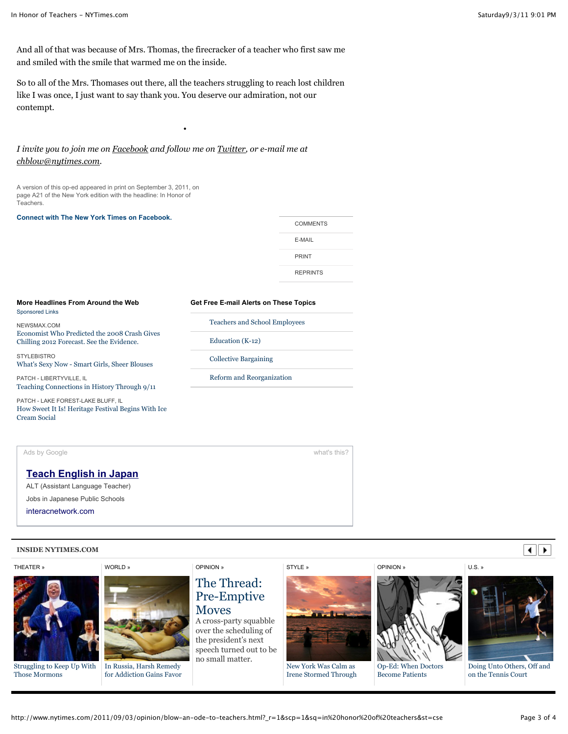And all of that was because of Mrs. Thomas, the firecracker of a teacher who first saw me and smiled with the smile that warmed me on the inside.

So to all of the Mrs. Thomases out there, all the teachers struggling to reach lost children like I was once, I just want to say thank you. You deserve our admiration, not our contempt.

*•*

# *I invite you to join me on Facebook and follow me on Twitter, or e-mail me at chblow@nytimes.com.*

A version of this op-ed appeared in print on September 3, 2011, on page A21 of the New York edition with the headline: In Honor of .<br>Teachers.

#### **Connect with The New York Times on Facebook.**

| <b>COMMENTS</b> |  |
|-----------------|--|
| E-MAIL          |  |
| PRINT           |  |
| <b>REPRINTS</b> |  |
|                 |  |

#### **More Headlines From Around the Web** Sponsored Links

NEWSMAX.COM Economist Who Predicted the 2008 Crash Gives Chilling 2012 Forecast. See the Evidence.

**STYLEBISTRO** What's Sexy Now - Smart Girls, Sheer Blouses

PATCH - LIBERTYVILLE, IL Teaching Connections in History Through 9/11

PATCH - LAKE FOREST-LAKE BLUFF, IL How Sweet It Is! Heritage Festival Begins With Ice Cream Social

# **Get Free E-mail Alerts on These Topics**

Teachers and School Employees Education (K-12) Collective Bargaining Reform and Reorganization



### **INSIDE NYTIMES.COM**

## THEATER »



Struggling to Keep Up With Those Mormons



In Russia, Harsh Remedy for Addiction Gains Favor

# OPINION »

# The Thread: Pre-Emptive **Moves**

A cross-party squabble over the scheduling of the president's next speech turned out to be no small matter.





New York Was Calm as Irene Stormed Through

OPINION »



### Op-Ed: When Doctors Become Patients

U.S. »



Doing Unto Others, Off and on the Tennis Court

 $\overline{\bullet}$